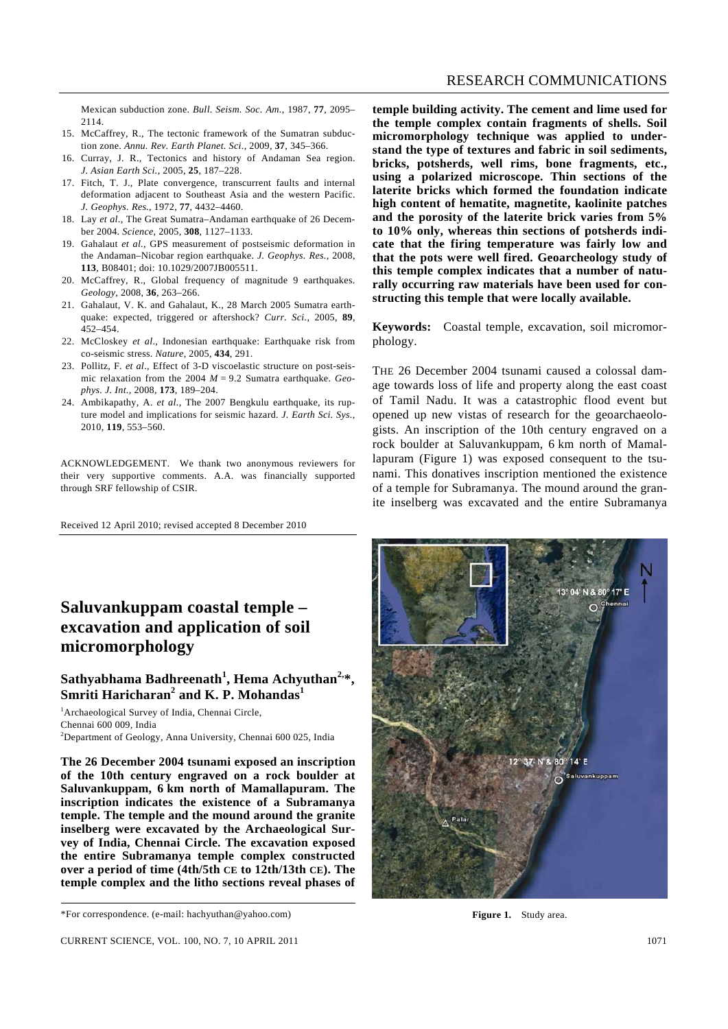Mexican subduction zone. *Bull. Seism. Soc. Am.*, 1987, **77**, 2095– 2114.

- 15. McCaffrey, R., The tectonic framework of the Sumatran subduction zone. *Annu. Rev. Earth Planet. Sci*., 2009, **37**, 345–366.
- 16. Curray, J. R., Tectonics and history of Andaman Sea region. *J. Asian Earth Sci.*, 2005, **25**, 187–228.
- 17. Fitch, T. J., Plate convergence, transcurrent faults and internal deformation adjacent to Southeast Asia and the western Pacific. *J. Geophys. Res.*, 1972, **77**, 4432–4460.
- 18. Lay *et al*., The Great Sumatra–Andaman earthquake of 26 December 2004. *Science*, 2005, **308**, 1127–1133.
- 19. Gahalaut *et al.*, GPS measurement of postseismic deformation in the Andaman–Nicobar region earthquake. *J. Geophys. Res.*, 2008, **113**, B08401; doi: 10.1029/2007JB005511.
- 20. McCaffrey, R., Global frequency of magnitude 9 earthquakes. *Geology*, 2008, **36**, 263–266.
- 21. Gahalaut, V. K. and Gahalaut, K., 28 March 2005 Sumatra earthquake: expected, triggered or aftershock? *Curr. Sci.*, 2005, **89**, 452–454.
- 22. McCloskey *et al*., Indonesian earthquake: Earthquake risk from co-seismic stress. *Nature*, 2005, **434**, 291.
- 23. Pollitz, F. *et al*., Effect of 3-D viscoelastic structure on post-seismic relaxation from the 2004 *M* = 9.2 Sumatra earthquake. *Geophys. J. Int.*, 2008, **173**, 189–204.
- 24. Ambikapathy, A. *et al*., The 2007 Bengkulu earthquake, its rupture model and implications for seismic hazard. *J. Earth Sci. Sys.*, 2010, **119**, 553–560.

ACKNOWLEDGEMENT. We thank two anonymous reviewers for their very supportive comments. A.A. was financially supported through SRF fellowship of CSIR.

Received 12 April 2010; revised accepted 8 December 2010

## **Saluvankuppam coastal temple – excavation and application of soil micromorphology**

## $\mathbf{S}$ athyabhama Badhreenath $^1$ , Hema Achyuthan $^{2,*},$ **Smriti Haricharan<sup>2</sup> and K. P. Mohandas<sup>1</sup>**

<sup>1</sup>Archaeological Survey of India, Chennai Circle, Chennai 600 009, India 2 Department of Geology, Anna University, Chennai 600 025, India

**The 26 December 2004 tsunami exposed an inscription of the 10th century engraved on a rock boulder at Saluvankuppam, 6 km north of Mamallapuram. The inscription indicates the existence of a Subramanya temple. The temple and the mound around the granite inselberg were excavated by the Archaeological Survey of India, Chennai Circle. The excavation exposed the entire Subramanya temple complex constructed over a period of time (4th/5th CE to 12th/13th CE). The temple complex and the litho sections reveal phases of** 

**temple building activity. The cement and lime used for the temple complex contain fragments of shells. Soil micromorphology technique was applied to understand the type of textures and fabric in soil sediments, bricks, potsherds, well rims, bone fragments, etc., using a polarized microscope. Thin sections of the laterite bricks which formed the foundation indicate high content of hematite, magnetite, kaolinite patches and the porosity of the laterite brick varies from 5% to 10% only, whereas thin sections of potsherds indicate that the firing temperature was fairly low and that the pots were well fired. Geoarcheology study of this temple complex indicates that a number of naturally occurring raw materials have been used for constructing this temple that were locally available.** 

**Keywords:** Coastal temple, excavation, soil micromorphology.

THE 26 December 2004 tsunami caused a colossal damage towards loss of life and property along the east coast of Tamil Nadu. It was a catastrophic flood event but opened up new vistas of research for the geoarchaeologists. An inscription of the 10th century engraved on a rock boulder at Saluvankuppam, 6 km north of Mamallapuram (Figure 1) was exposed consequent to the tsunami. This donatives inscription mentioned the existence of a temple for Subramanya. The mound around the granite inselberg was excavated and the entire Subramanya



**Figure 1.** Study area.

<sup>\*</sup>For correspondence. (e-mail: hachyuthan@yahoo.com)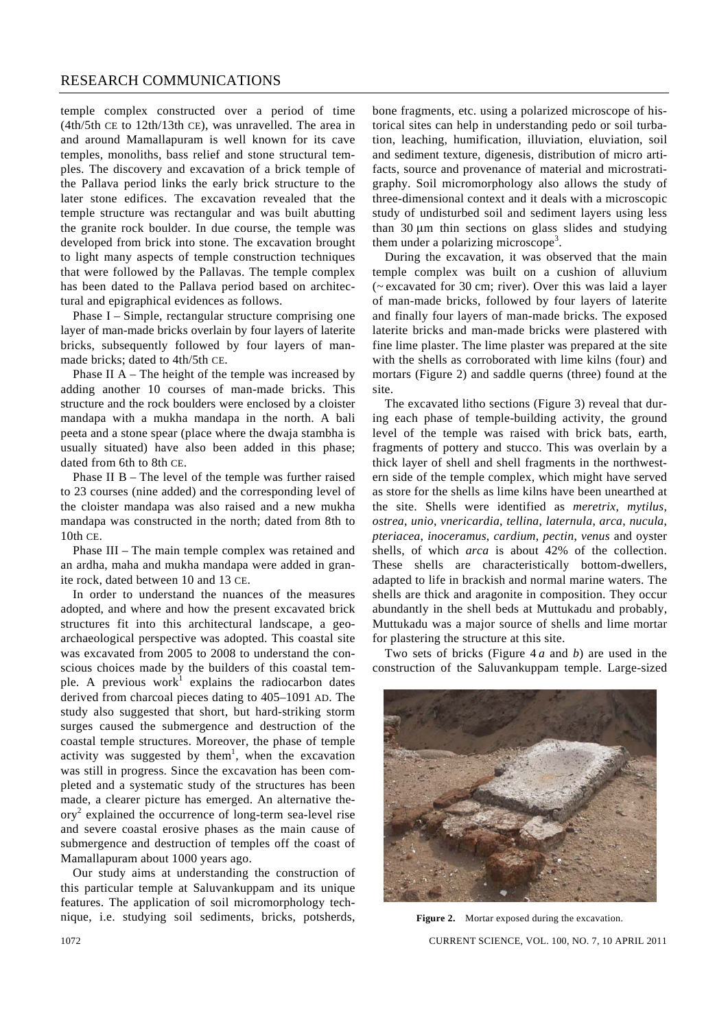temple complex constructed over a period of time (4th/5th CE to 12th/13th CE), was unravelled. The area in and around Mamallapuram is well known for its cave temples, monoliths, bass relief and stone structural temples. The discovery and excavation of a brick temple of the Pallava period links the early brick structure to the later stone edifices. The excavation revealed that the temple structure was rectangular and was built abutting the granite rock boulder. In due course, the temple was developed from brick into stone. The excavation brought to light many aspects of temple construction techniques that were followed by the Pallavas. The temple complex has been dated to the Pallava period based on architectural and epigraphical evidences as follows.

 Phase I – Simple, rectangular structure comprising one layer of man-made bricks overlain by four layers of laterite bricks, subsequently followed by four layers of manmade bricks; dated to 4th/5th CE.

Phase II  $A$  – The height of the temple was increased by adding another 10 courses of man-made bricks. This structure and the rock boulders were enclosed by a cloister mandapa with a mukha mandapa in the north. A bali peeta and a stone spear (place where the dwaja stambha is usually situated) have also been added in this phase; dated from 6th to 8th CE.

 Phase II B – The level of the temple was further raised to 23 courses (nine added) and the corresponding level of the cloister mandapa was also raised and a new mukha mandapa was constructed in the north; dated from 8th to 10th CE.

 Phase III – The main temple complex was retained and an ardha, maha and mukha mandapa were added in granite rock, dated between 10 and 13 CE.

 In order to understand the nuances of the measures adopted, and where and how the present excavated brick structures fit into this architectural landscape, a geoarchaeological perspective was adopted. This coastal site was excavated from 2005 to 2008 to understand the conscious choices made by the builders of this coastal temple. A previous work explains the radiocarbon dates derived from charcoal pieces dating to 405–1091 AD. The study also suggested that short, but hard-striking storm surges caused the submergence and destruction of the coastal temple structures. Moreover, the phase of temple activity was suggested by them<sup>1</sup>, when the excavation was still in progress. Since the excavation has been completed and a systematic study of the structures has been made, a clearer picture has emerged. An alternative theory<sup>2</sup> explained the occurrence of long-term sea-level rise and severe coastal erosive phases as the main cause of submergence and destruction of temples off the coast of Mamallapuram about 1000 years ago.

 Our study aims at understanding the construction of this particular temple at Saluvankuppam and its unique features. The application of soil micromorphology technique, i.e. studying soil sediments, bricks, potsherds, bone fragments, etc. using a polarized microscope of historical sites can help in understanding pedo or soil turbation, leaching, humification, illuviation, eluviation, soil and sediment texture, digenesis, distribution of micro artifacts, source and provenance of material and microstratigraphy. Soil micromorphology also allows the study of three-dimensional context and it deals with a microscopic study of undisturbed soil and sediment layers using less than 30 μm thin sections on glass slides and studying them under a polarizing microscope<sup>3</sup>.

 During the excavation, it was observed that the main temple complex was built on a cushion of alluvium (~ excavated for 30 cm; river). Over this was laid a layer of man-made bricks, followed by four layers of laterite and finally four layers of man-made bricks. The exposed laterite bricks and man-made bricks were plastered with fine lime plaster. The lime plaster was prepared at the site with the shells as corroborated with lime kilns (four) and mortars (Figure 2) and saddle querns (three) found at the site.

 The excavated litho sections (Figure 3) reveal that during each phase of temple-building activity, the ground level of the temple was raised with brick bats, earth, fragments of pottery and stucco. This was overlain by a thick layer of shell and shell fragments in the northwestern side of the temple complex, which might have served as store for the shells as lime kilns have been unearthed at the site. Shells were identified as *meretrix*, *mytilus*, *ostrea*, *unio*, *vnericardia*, *tellina*, *laternula*, *arca*, *nucula*, *pteriacea*, *inoceramus*, *cardium*, *pectin*, *venus* and oyster shells, of which *arca* is about 42% of the collection. These shells are characteristically bottom-dwellers, adapted to life in brackish and normal marine waters. The shells are thick and aragonite in composition. They occur abundantly in the shell beds at Muttukadu and probably, Muttukadu was a major source of shells and lime mortar for plastering the structure at this site.

 Two sets of bricks (Figure 4 *a* and *b*) are used in the construction of the Saluvankuppam temple. Large-sized



1072 CURRENT SCIENCE, VOL. 100, NO. 7, 10 APRIL 2011 Figure 2. Mortar exposed during the excavation.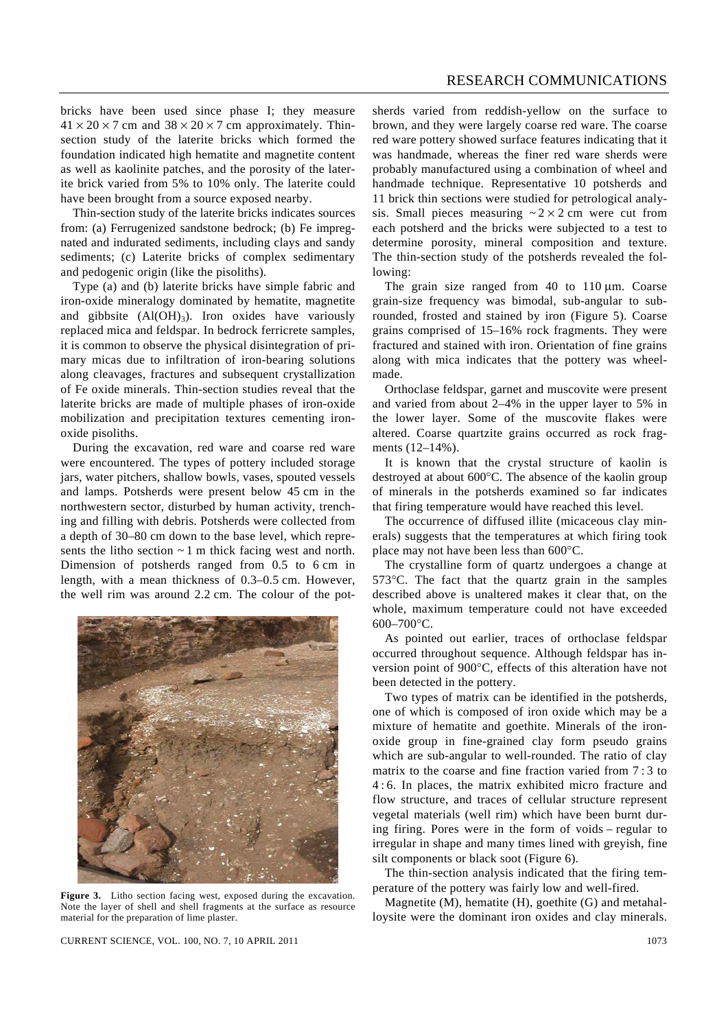bricks have been used since phase I; they measure  $41 \times 20 \times 7$  cm and  $38 \times 20 \times 7$  cm approximately. Thinsection study of the laterite bricks which formed the foundation indicated high hematite and magnetite content as well as kaolinite patches, and the porosity of the laterite brick varied from 5% to 10% only. The laterite could have been brought from a source exposed nearby.

 Thin-section study of the laterite bricks indicates sources from: (a) Ferrugenized sandstone bedrock; (b) Fe impregnated and indurated sediments, including clays and sandy sediments; (c) Laterite bricks of complex sedimentary and pedogenic origin (like the pisoliths).

 Type (a) and (b) laterite bricks have simple fabric and iron-oxide mineralogy dominated by hematite, magnetite and gibbsite  $(AI(OH)<sub>3</sub>)$ . Iron oxides have variously replaced mica and feldspar. In bedrock ferricrete samples, it is common to observe the physical disintegration of primary micas due to infiltration of iron-bearing solutions along cleavages, fractures and subsequent crystallization of Fe oxide minerals. Thin-section studies reveal that the laterite bricks are made of multiple phases of iron-oxide mobilization and precipitation textures cementing ironoxide pisoliths.

 During the excavation, red ware and coarse red ware were encountered. The types of pottery included storage jars, water pitchers, shallow bowls, vases, spouted vessels and lamps. Potsherds were present below 45 cm in the northwestern sector, disturbed by human activity, trenching and filling with debris. Potsherds were collected from a depth of 30–80 cm down to the base level, which represents the litho section  $\sim$  1 m thick facing west and north. Dimension of potsherds ranged from 0.5 to 6 cm in length, with a mean thickness of 0.3–0.5 cm. However, the well rim was around 2.2 cm. The colour of the pot-



**Figure 3.** Litho section facing west, exposed during the excavation. Note the layer of shell and shell fragments at the surface as resource material for the preparation of lime plaster.

sherds varied from reddish-yellow on the surface to brown, and they were largely coarse red ware. The coarse red ware pottery showed surface features indicating that it was handmade, whereas the finer red ware sherds were probably manufactured using a combination of wheel and handmade technique. Representative 10 potsherds and 11 brick thin sections were studied for petrological analysis. Small pieces measuring  $\sim 2 \times 2$  cm were cut from each potsherd and the bricks were subjected to a test to determine porosity, mineral composition and texture. The thin-section study of the potsherds revealed the following:

 The grain size ranged from 40 to 110 μm. Coarse grain-size frequency was bimodal, sub-angular to subrounded, frosted and stained by iron (Figure 5). Coarse grains comprised of 15–16% rock fragments. They were fractured and stained with iron. Orientation of fine grains along with mica indicates that the pottery was wheelmade.

 Orthoclase feldspar, garnet and muscovite were present and varied from about 2–4% in the upper layer to 5% in the lower layer. Some of the muscovite flakes were altered. Coarse quartzite grains occurred as rock fragments (12–14%).

 It is known that the crystal structure of kaolin is destroyed at about 600°C. The absence of the kaolin group of minerals in the potsherds examined so far indicates that firing temperature would have reached this level.

 The occurrence of diffused illite (micaceous clay minerals) suggests that the temperatures at which firing took place may not have been less than 600°C.

 The crystalline form of quartz undergoes a change at 573°C. The fact that the quartz grain in the samples described above is unaltered makes it clear that, on the whole, maximum temperature could not have exceeded  $600 - 700$ °C.

 As pointed out earlier, traces of orthoclase feldspar occurred throughout sequence. Although feldspar has inversion point of 900°C, effects of this alteration have not been detected in the pottery.

 Two types of matrix can be identified in the potsherds, one of which is composed of iron oxide which may be a mixture of hematite and goethite. Minerals of the ironoxide group in fine-grained clay form pseudo grains which are sub-angular to well-rounded. The ratio of clay matrix to the coarse and fine fraction varied from 7 : 3 to 4 : 6. In places, the matrix exhibited micro fracture and flow structure, and traces of cellular structure represent vegetal materials (well rim) which have been burnt during firing. Pores were in the form of voids – regular to irregular in shape and many times lined with greyish, fine silt components or black soot (Figure 6).

 The thin-section analysis indicated that the firing temperature of the pottery was fairly low and well-fired.

 Magnetite (M), hematite (H), goethite (G) and metahalloysite were the dominant iron oxides and clay minerals.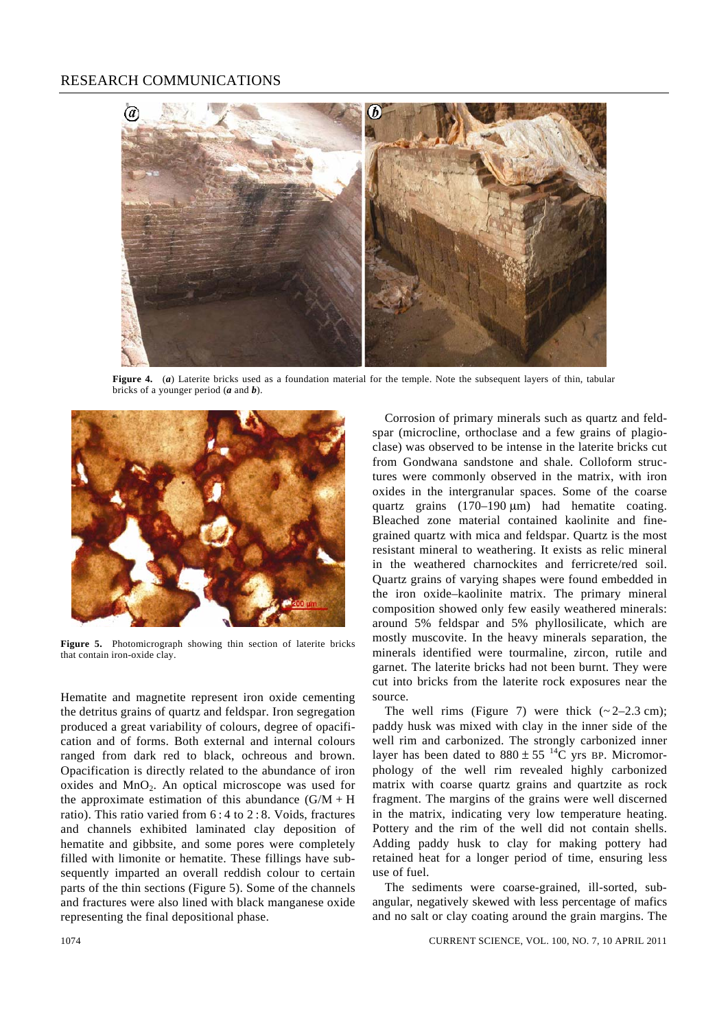

**Figure 4.** (*a*) Laterite bricks used as a foundation material for the temple. Note the subsequent layers of thin, tabular bricks of a younger period (*a* and *b*).



**Figure 5.** Photomicrograph showing thin section of laterite bricks that contain iron-oxide clay.

Hematite and magnetite represent iron oxide cementing the detritus grains of quartz and feldspar. Iron segregation produced a great variability of colours, degree of opacification and of forms. Both external and internal colours ranged from dark red to black, ochreous and brown. Opacification is directly related to the abundance of iron oxides and  $MnO<sub>2</sub>$ . An optical microscope was used for the approximate estimation of this abundance  $(G/M + H)$ ratio). This ratio varied from 6 : 4 to 2 : 8. Voids, fractures and channels exhibited laminated clay deposition of hematite and gibbsite, and some pores were completely filled with limonite or hematite. These fillings have subsequently imparted an overall reddish colour to certain parts of the thin sections (Figure 5). Some of the channels and fractures were also lined with black manganese oxide representing the final depositional phase.

 Corrosion of primary minerals such as quartz and feldspar (microcline, orthoclase and a few grains of plagioclase) was observed to be intense in the laterite bricks cut from Gondwana sandstone and shale. Colloform structures were commonly observed in the matrix, with iron oxides in the intergranular spaces. Some of the coarse quartz grains (170–190 μm) had hematite coating. Bleached zone material contained kaolinite and finegrained quartz with mica and feldspar. Quartz is the most resistant mineral to weathering. It exists as relic mineral in the weathered charnockites and ferricrete/red soil. Quartz grains of varying shapes were found embedded in the iron oxide–kaolinite matrix. The primary mineral composition showed only few easily weathered minerals: around 5% feldspar and 5% phyllosilicate, which are mostly muscovite. In the heavy minerals separation, the minerals identified were tourmaline, zircon, rutile and garnet. The laterite bricks had not been burnt. They were cut into bricks from the laterite rock exposures near the source.

The well rims (Figure 7) were thick  $(-2-2.3 \text{ cm})$ ; paddy husk was mixed with clay in the inner side of the well rim and carbonized. The strongly carbonized inner layer has been dated to  $880 \pm 55$  <sup>14</sup>C yrs BP. Micromorphology of the well rim revealed highly carbonized matrix with coarse quartz grains and quartzite as rock fragment. The margins of the grains were well discerned in the matrix, indicating very low temperature heating. Pottery and the rim of the well did not contain shells. Adding paddy husk to clay for making pottery had retained heat for a longer period of time, ensuring less use of fuel.

 The sediments were coarse-grained, ill-sorted, subangular, negatively skewed with less percentage of mafics and no salt or clay coating around the grain margins. The